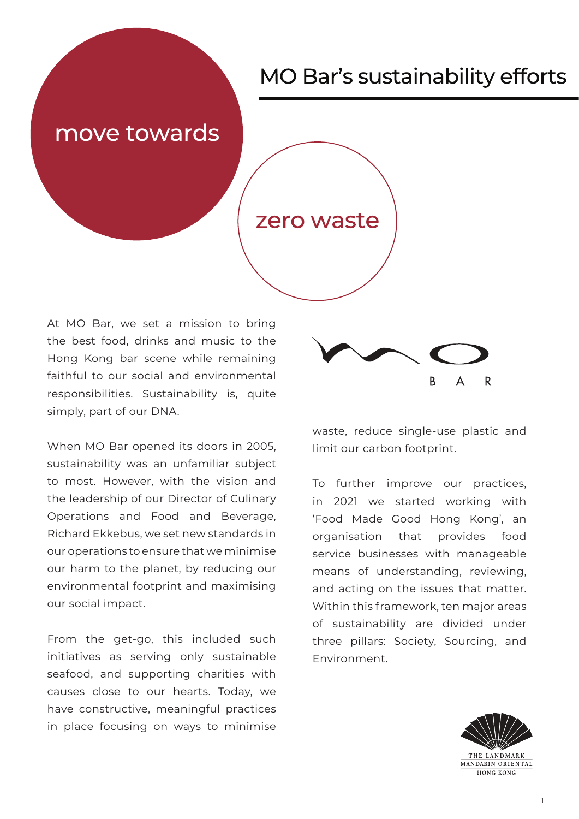### move towards

### zero waste

At MO Bar, we set a mission to bring the best food, drinks and music to the Hong Kong bar scene while remaining faithful to our social and environmental responsibilities. Sustainability is, quite simply, part of our DNA.

When MO Bar opened its doors in 2005, sustainability was an unfamiliar subject to most. However, with the vision and the leadership of our Director of Culinary Operations and Food and Beverage, Richard Ekkebus, we set new standards in our operations to ensure that we minimise our harm to the planet, by reducing our environmental footprint and maximising our social impact.

From the get-go, this included such initiatives as serving only sustainable seafood, and supporting charities with causes close to our hearts. Today, we have constructive, meaningful practices in place focusing on ways to minimise



waste, reduce single-use plastic and limit our carbon footprint.

To further improve our practices, in 2021 we started working with 'Food Made Good Hong Kong', an organisation that provides food service businesses with manageable means of understanding, reviewing, and acting on the issues that matter. Within this framework, ten major areas of sustainability are divided under three pillars: Society, Sourcing, and Environment.

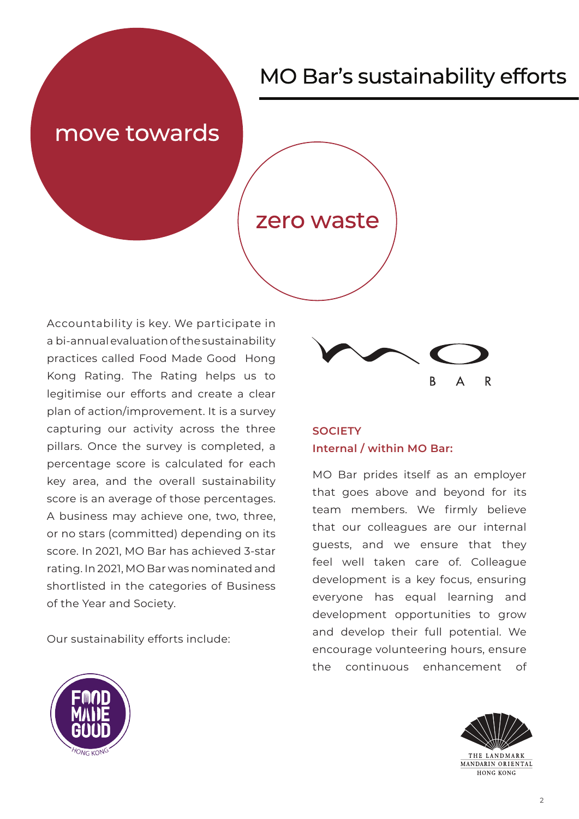### move towards

### zero waste

Accountability is key. We participate in a bi-annual evaluation of the sustainability practices called Food Made Good Hong Kong Rating. The Rating helps us to legitimise our efforts and create a clear plan of action/improvement. It is a survey capturing our activity across the three pillars. Once the survey is completed, a percentage score is calculated for each key area, and the overall sustainability score is an average of those percentages. A business may achieve one, two, three, or no stars (committed) depending on its score. In 2021, MO Bar has achieved 3-star rating. In 2021, MO Bar was nominated and shortlisted in the categories of Business of the Year and Society.

Our sustainability efforts include:



### **SOCIETY Internal / within MO Bar:**

MO Bar prides itself as an employer that goes above and beyond for its team members. We firmly believe that our colleagues are our internal guests, and we ensure that they feel well taken care of. Colleague development is a key focus, ensuring everyone has equal learning and development opportunities to grow and develop their full potential. We encourage volunteering hours, ensure the continuous enhancement of



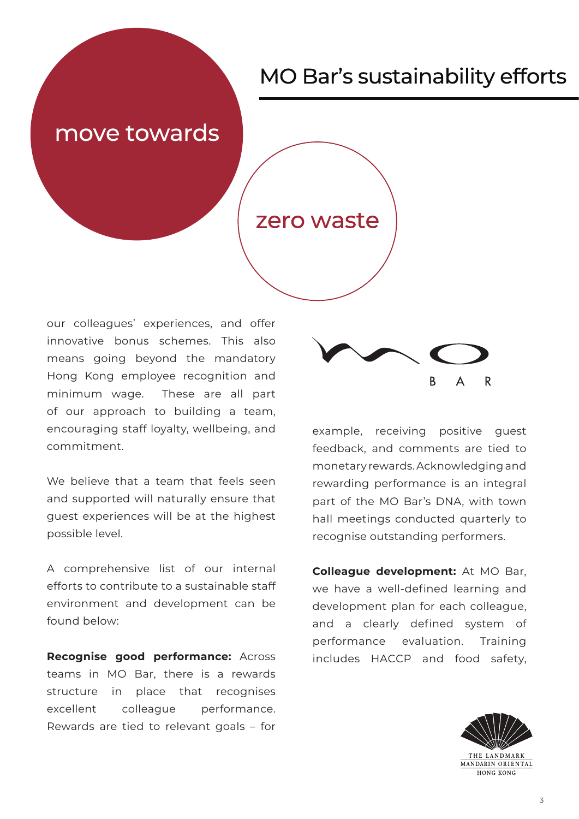### move towards

### zero waste

our colleagues' experiences, and offer innovative bonus schemes. This also means going beyond the mandatory Hong Kong employee recognition and minimum wage. These are all part of our approach to building a team, encouraging staff loyalty, wellbeing, and commitment.

We believe that a team that feels seen and supported will naturally ensure that guest experiences will be at the highest possible level.

A comprehensive list of our internal efforts to contribute to a sustainable staff environment and development can be found below:

**Recognise good performance:** Across teams in MO Bar, there is a rewards structure in place that recognises excellent colleague performance. Rewards are tied to relevant goals – for



example, receiving positive guest feedback, and comments are tied to monetary rewards. Acknowledging and rewarding performance is an integral part of the MO Bar's DNA, with town hall meetings conducted quarterly to recognise outstanding performers.

**Colleague development:** At MO Bar, we have a well-defined learning and development plan for each colleague, and a clearly defined system of performance evaluation. Training includes HACCP and food safety,

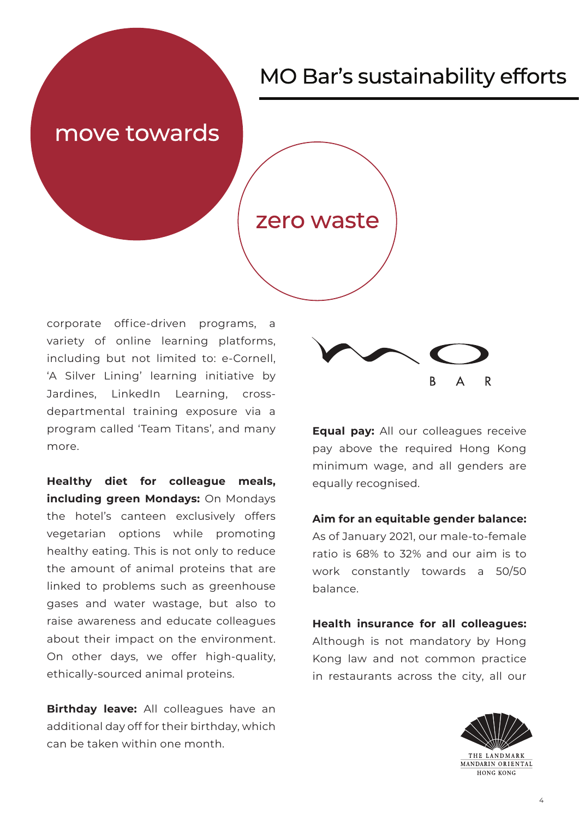### move towards

### zero waste

corporate office-driven programs, a variety of online learning platforms, including but not limited to: e-Cornell, 'A Silver Lining' learning initiative by Jardines, LinkedIn Learning, crossdepartmental training exposure via a program called 'Team Titans', and many more.

**Healthy diet for colleague meals, including green Mondays:** On Mondays the hotel's canteen exclusively offers vegetarian options while promoting healthy eating. This is not only to reduce the amount of animal proteins that are linked to problems such as greenhouse gases and water wastage, but also to raise awareness and educate colleagues about their impact on the environment. On other days, we offer high-quality, ethically-sourced animal proteins.

**Birthday leave:** All colleagues have an additional day off for their birthday, which can be taken within one month.



**Equal pay:** All our colleagues receive pay above the required Hong Kong minimum wage, and all genders are equally recognised.

#### **Aim for an equitable gender balance:**

As of January 2021, our male-to-female ratio is 68% to 32% and our aim is to work constantly towards a 50/50 balance.

**Health insurance for all colleagues:**  Although is not mandatory by Hong Kong law and not common practice in restaurants across the city, all our

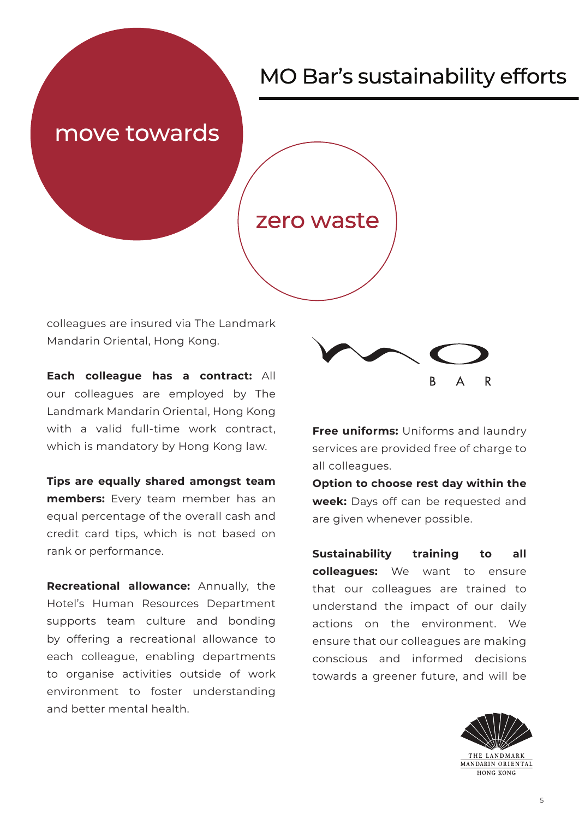### move towards

### zero waste

colleagues are insured via The Landmark Mandarin Oriental, Hong Kong.

**Each colleague has a contract:** All our colleagues are employed by The Landmark Mandarin Oriental, Hong Kong with a valid full-time work contract, which is mandatory by Hong Kong law.

**Tips are equally shared amongst team members:** Every team member has an equal percentage of the overall cash and credit card tips, which is not based on rank or performance.

**Recreational allowance:** Annually, the Hotel's Human Resources Department supports team culture and bonding by offering a recreational allowance to each colleague, enabling departments to organise activities outside of work environment to foster understanding and better mental health.



**Free uniforms:** Uniforms and laundry services are provided free of charge to all colleagues.

**Option to choose rest day within the week:** Days off can be requested and are given whenever possible.

**Sustainability training to all colleagues:** We want to ensure that our colleagues are trained to understand the impact of our daily actions on the environment. We ensure that our colleagues are making conscious and informed decisions towards a greener future, and will be

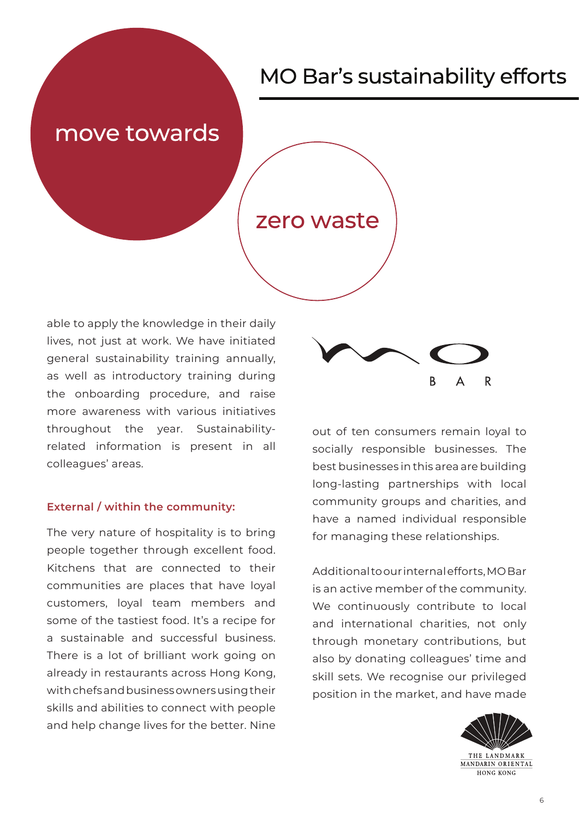### move towards

### zero waste

able to apply the knowledge in their daily lives, not just at work. We have initiated general sustainability training annually, as well as introductory training during the onboarding procedure, and raise more awareness with various initiatives throughout the year. Sustainabilityrelated information is present in all colleagues' areas.

#### **External / within the community:**

The very nature of hospitality is to bring people together through excellent food. Kitchens that are connected to their communities are places that have loyal customers, loyal team members and some of the tastiest food. It's a recipe for a sustainable and successful business. There is a lot of brilliant work going on already in restaurants across Hong Kong, with chefs and business owners using their skills and abilities to connect with people and help change lives for the better. Nine



out of ten consumers remain loyal to socially responsible businesses. The best businesses in this area are building long-lasting partnerships with local community groups and charities, and have a named individual responsible for managing these relationships.

Additional to our internal efforts, MO Bar is an active member of the community. We continuously contribute to local and international charities, not only through monetary contributions, but also by donating colleagues' time and skill sets. We recognise our privileged position in the market, and have made

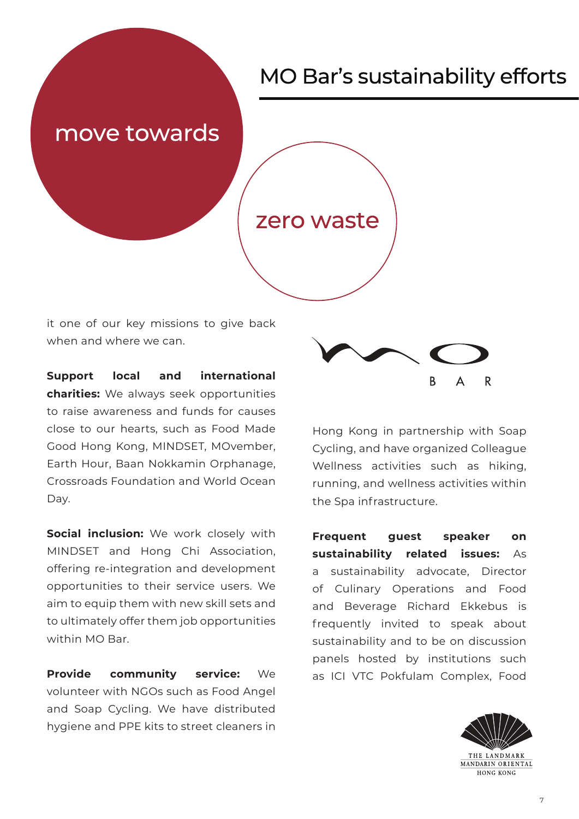### move towards

### zero waste

it one of our key missions to give back when and where we can.

**Support local and international charities:** We always seek opportunities to raise awareness and funds for causes close to our hearts, such as Food Made Good Hong Kong, MINDSET, MOvember, Earth Hour, Baan Nokkamin Orphanage, Crossroads Foundation and World Ocean Day.

**Social inclusion:** We work closely with MINDSET and Hong Chi Association, offering re-integration and development opportunities to their service users. We aim to equip them with new skill sets and to ultimately offer them job opportunities within MO Bar.

**Provide community service:** We volunteer with NGOs such as Food Angel and Soap Cycling. We have distributed hygiene and PPE kits to street cleaners in



Hong Kong in partnership with Soap Cycling, and have organized Colleague Wellness activities such as hiking, running, and wellness activities within the Spa infrastructure.

**Frequent guest speaker on sustainability related issues:** As a sustainability advocate, Director of Culinary Operations and Food and Beverage Richard Ekkebus is frequently invited to speak about sustainability and to be on discussion panels hosted by institutions such as ICI VTC Pokfulam Complex, Food

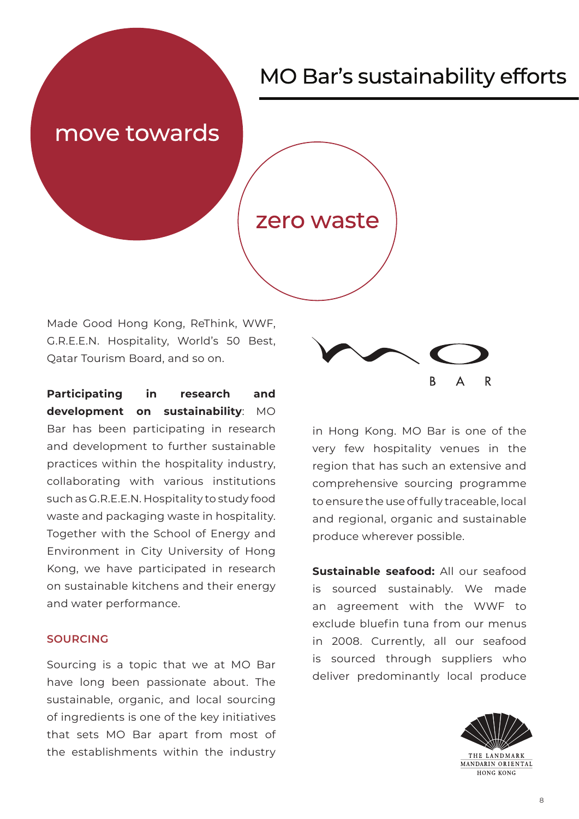## move towards

### zero waste

Made Good Hong Kong, ReThink, WWF, G.R.E.E.N. Hospitality, World's 50 Best, Qatar Tourism Board, and so on.

**Participating in research and development on sustainability**: MO Bar has been participating in research and development to further sustainable practices within the hospitality industry, collaborating with various institutions such as G.R.E.E.N. Hospitality to study food waste and packaging waste in hospitality. Together with the School of Energy and Environment in City University of Hong Kong, we have participated in research on sustainable kitchens and their energy and water performance.

#### **SOURCING**

Sourcing is a topic that we at MO Bar have long been passionate about. The sustainable, organic, and local sourcing of ingredients is one of the key initiatives that sets MO Bar apart from most of the establishments within the industry



in Hong Kong. MO Bar is one of the very few hospitality venues in the region that has such an extensive and comprehensive sourcing programme to ensure the use of fully traceable, local and regional, organic and sustainable produce wherever possible.

**Sustainable seafood:** All our seafood is sourced sustainably. We made an agreement with the WWF to exclude bluefin tuna from our menus in 2008. Currently, all our seafood is sourced through suppliers who deliver predominantly local produce

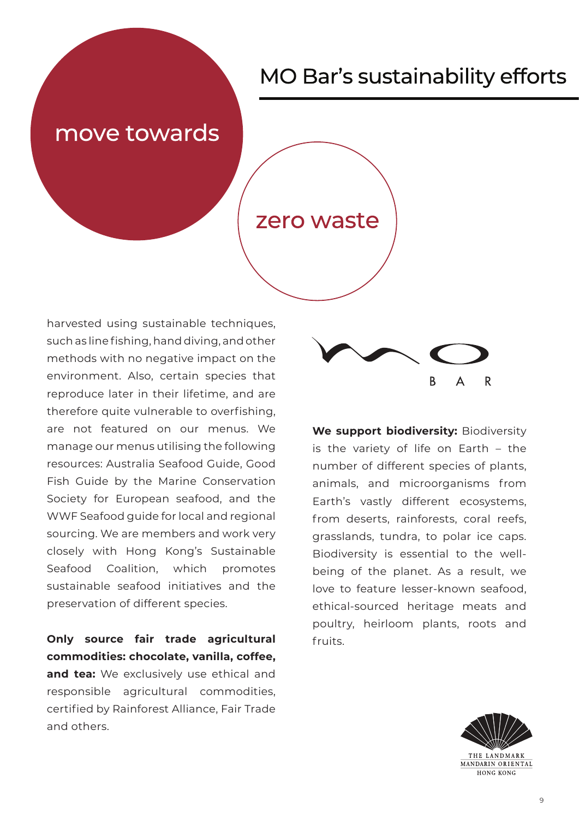### move towards

### zero waste

harvested using sustainable techniques, such as line fishing, hand diving, and other methods with no negative impact on the environment. Also, certain species that reproduce later in their lifetime, and are therefore quite vulnerable to overfishing, are not featured on our menus. We manage our menus utilising the following resources: Australia Seafood Guide, Good Fish Guide by the Marine Conservation Society for European seafood, and the WWF Seafood guide for local and regional sourcing. We are members and work very closely with Hong Kong's Sustainable Seafood Coalition, which promotes sustainable seafood initiatives and the preservation of different species.

**Only source fair trade agricultural commodities: chocolate, vanilla, coffee, and tea:** We exclusively use ethical and responsible agricultural commodities, certified by Rainforest Alliance, Fair Trade and others.



**We support biodiversity:** Biodiversity is the variety of life on Earth – the number of different species of plants, animals, and microorganisms from Earth's vastly different ecosystems, from deserts, rainforests, coral reefs, grasslands, tundra, to polar ice caps. Biodiversity is essential to the wellbeing of the planet. As a result, we love to feature lesser-known seafood, ethical-sourced heritage meats and poultry, heirloom plants, roots and fruits.

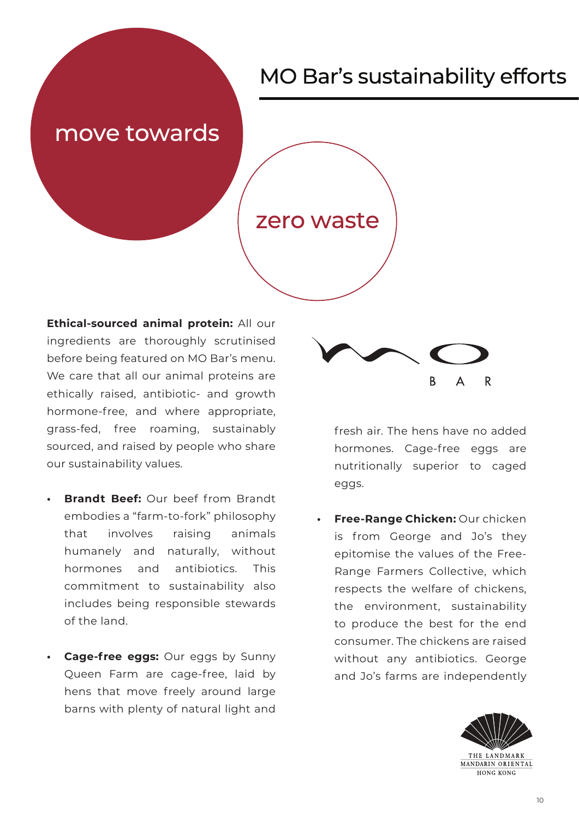### move towards

### zero waste

**Ethical-sourced animal protein:** All our ingredients are thoroughly scrutinised before being featured on MO Bar's menu. We care that all our animal proteins are ethically raised, antibiotic- and growth hormone-free, and where appropriate, grass-fed, free roaming, sustainably sourced, and raised by people who share our sustainability values.

- **• Brandt Beef:** Our beef from Brandt embodies a "farm-to-fork" philosophy that involves raising animals humanely and naturally, without hormones and antibiotics. This commitment to sustainability also includes being responsible stewards of the land.
- **• Cage-free eggs:** Our eggs by Sunny Queen Farm are cage-free, laid by hens that move freely around large barns with plenty of natural light and



fresh air. The hens have no added hormones. Cage-free eggs are nutritionally superior to caged eggs.

**• Free-Range Chicken:** Our chicken is from George and Jo's they epitomise the values of the Free-Range Farmers Collective, which respects the welfare of chickens, the environment, sustainability to produce the best for the end consumer. The chickens are raised without any antibiotics. George and Jo's farms are independently

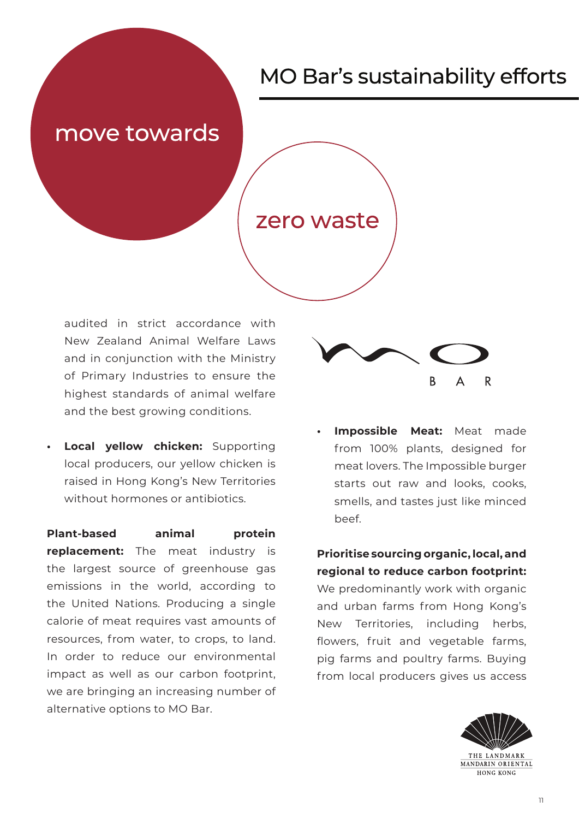### move towards

### zero waste

audited in strict accordance with New Zealand Animal Welfare Laws and in conjunction with the Ministry of Primary Industries to ensure the highest standards of animal welfare and the best growing conditions.

**• Local yellow chicken:** Supporting local producers, our yellow chicken is raised in Hong Kong's New Territories without hormones or antibiotics.

**Plant-based animal protein replacement:** The meat industry is the largest source of greenhouse gas emissions in the world, according to the United Nations. Producing a single calorie of meat requires vast amounts of resources, from water, to crops, to land. In order to reduce our environmental impact as well as our carbon footprint, we are bringing an increasing number of alternative options to MO Bar.



**Impossible Meat:** Meat made from 100% plants, designed for meat lovers. The Impossible burger starts out raw and looks, cooks, smells, and tastes just like minced beef.

**Prioritise sourcing organic, local, and regional to reduce carbon footprint:**

We predominantly work with organic and urban farms from Hong Kong's New Territories, including herbs, flowers, fruit and vegetable farms, pig farms and poultry farms. Buying from local producers gives us access

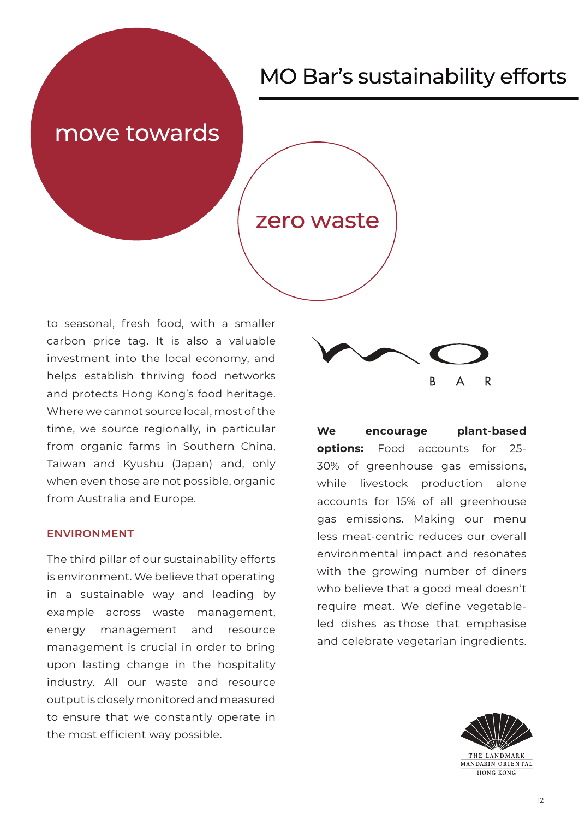### move towards

### zero waste

to seasonal, fresh food, with a smaller carbon price tag. It is also a valuable investment into the local economy, and helps establish thriving food networks and protects Hong Kong's food heritage. Where we cannot source local, most of the time, we source regionally, in particular from organic farms in Southern China, Taiwan and Kyushu (Japan) and, only when even those are not possible, organic from Australia and Europe.

#### **ENVIRONMENT**

The third pillar of our sustainability efforts is environment. We believe that operating in a sustainable way and leading by example across waste management, energy management and resource management is crucial in order to bring upon lasting change in the hospitality industry. All our waste and resource output is closely monitored and measured to ensure that we constantly operate in the most efficient way possible.



**We encourage plant-based options:** Food accounts for 25- 30% of greenhouse gas emissions, while livestock production alone accounts for 15% of all greenhouse gas emissions. Making our menu less meat-centric reduces our overall environmental impact and resonates with the growing number of diners who believe that a good meal doesn't require meat. We define vegetableled dishes as those that emphasise and celebrate vegetarian ingredients.

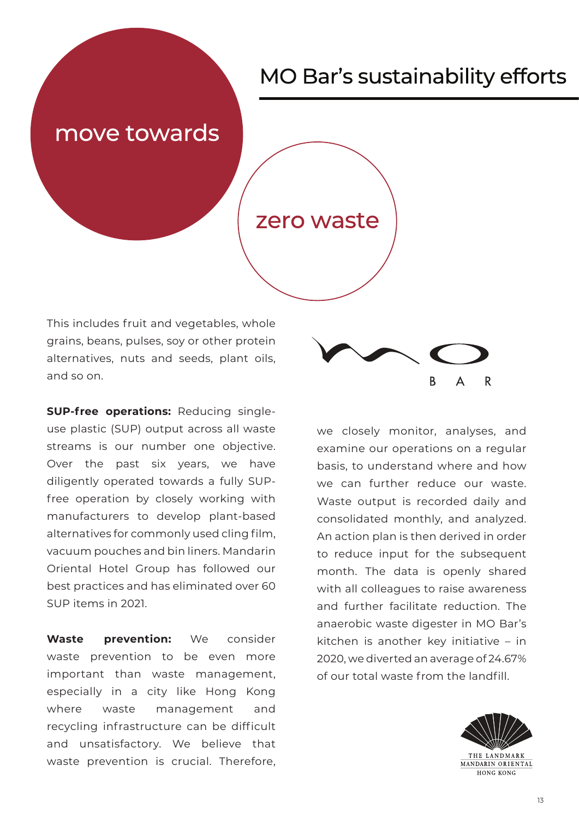### move towards

### zero waste

This includes fruit and vegetables, whole grains, beans, pulses, soy or other protein alternatives, nuts and seeds, plant oils, and so on.

**SUP-free operations:** Reducing singleuse plastic (SUP) output across all waste streams is our number one objective. Over the past six years, we have diligently operated towards a fully SUPfree operation by closely working with manufacturers to develop plant-based alternatives for commonly used cling film, vacuum pouches and bin liners. Mandarin Oriental Hotel Group has followed our best practices and has eliminated over 60 SUP items in 2021.

**Waste prevention:** We consider waste prevention to be even more important than waste management, especially in a city like Hong Kong where waste management and recycling infrastructure can be difficult and unsatisfactory. We believe that waste prevention is crucial. Therefore,



we closely monitor, analyses, and examine our operations on a regular basis, to understand where and how we can further reduce our waste. Waste output is recorded daily and consolidated monthly, and analyzed. An action plan is then derived in order to reduce input for the subsequent month. The data is openly shared with all colleagues to raise awareness and further facilitate reduction. The anaerobic waste digester in MO Bar's kitchen is another key initiative – in 2020, we diverted an average of 24.67% of our total waste from the landfill.

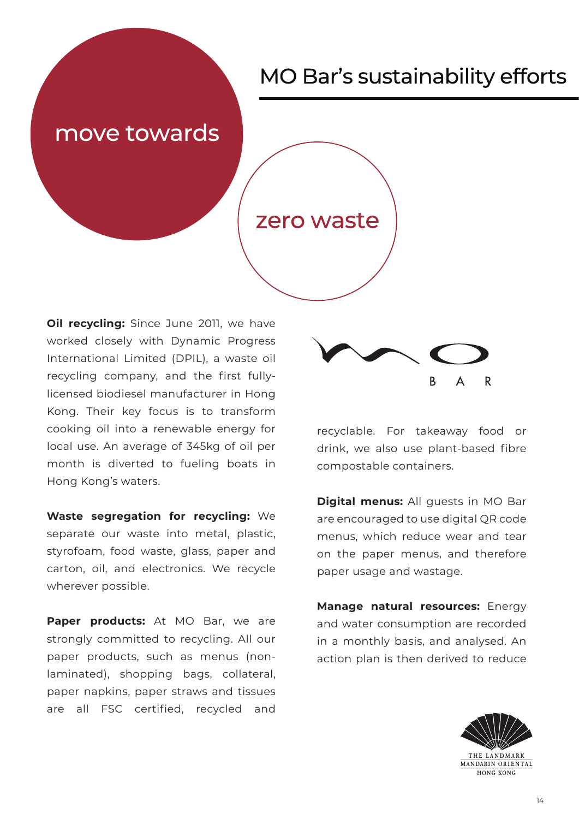### move towards

### zero waste

**Oil recycling:** Since June 2011, we have worked closely with Dynamic Progress International Limited (DPIL), a waste oil recycling company, and the first fullylicensed biodiesel manufacturer in Hong Kong. Their key focus is to transform cooking oil into a renewable energy for local use. An average of 345kg of oil per month is diverted to fueling boats in Hong Kong's waters.

**Waste segregation for recycling:** We separate our waste into metal, plastic, styrofoam, food waste, glass, paper and carton, oil, and electronics. We recycle wherever possible.

Paper products: At MO Bar, we are strongly committed to recycling. All our paper products, such as menus (nonlaminated), shopping bags, collateral, paper napkins, paper straws and tissues are all FSC certified, recycled and



recyclable. For takeaway food or drink, we also use plant-based fibre compostable containers.

**Digital menus:** All guests in MO Bar are encouraged to use digital QR code menus, which reduce wear and tear on the paper menus, and therefore paper usage and wastage.

**Manage natural resources:** Energy and water consumption are recorded in a monthly basis, and analysed. An action plan is then derived to reduce